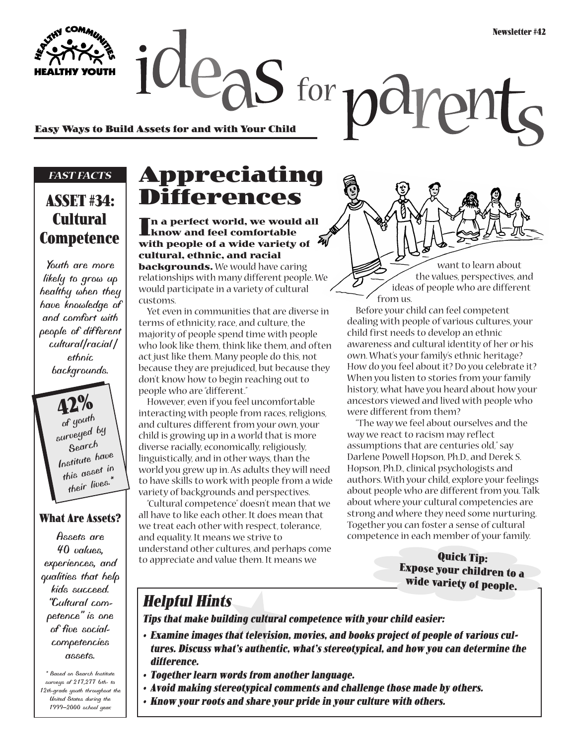**Easy Ways to Build Assets for and with Your Child**

#### *FAST FACTS*

### **ASSET #34: Cultural Competence**

*Youth are more likely to grow up healthy when they have knowledge of and comfort with people of different cultural/racial/ ethnic backgrounds.* 

**42%** *of youth surveyed by Search Institute have this asset in their lives.\**

#### **What Are Assets?**

*Assets are 40 values, experiences, and qualities that help kids succeed. "Cultural competence" is one of five socialcompetencies assets.*

*\* Based on Search Institute surveys of 217,277 6th- to 12th-grade youth throughout the United States during the 1999–2000 school year.*

# **Appreciating Differences**

 $legS$  for  $\tau$ 

**In a perfect world, we would all know and feel comfortable with people of a wide variety of cultural, ethnic, and racial**

**backgrounds.** We would have caring relationships with many different people. We would participate in a variety of cultural customs.

Yet even in communities that are diverse in terms of ethnicity, race, and culture, the majority of people spend time with people who look like them, think like them, and often act just like them. Many people do this, not because they are prejudiced, but because they don't know how to begin reaching out to people who are "different."

However, even if you feel uncomfortable interacting with people from races, religions, and cultures different from your own, your child is growing up in a world that is more diverse racially, economically, religiously, linguistically, and in other ways, than the world you grew up in. As adults they will need to have skills to work with people from a wide variety of backgrounds and perspectives.

"Cultural competence" doesn't mean that we all have to like each other. It does mean that we treat each other with respect, tolerance, and equality. It means we strive to understand other cultures, and perhaps come to appreciate and value them. It means we

want to learn about the values, perspectives, and ideas of people who are different from us.

Before your child can feel competent dealing with people of various cultures, your child first needs to develop an ethnic awareness and cultural identity of her or his own. What's your family's ethnic heritage? How do you feel about it? Do you celebrate it? When you listen to stories from your family history, what have you heard about how your ancestors viewed and lived with people who were different from them?

"The way we feel about ourselves and the way we react to racism may reflect assumptions that are centuries old," say Darlene Powell Hopson, Ph.D., and Derek S. Hopson, Ph.D., clinical psychologists and authors. With your child, explore your feelings about people who are different from you. Talk about where your cultural competencies are strong and where they need some nurturing. Together you can foster a sense of cultural competence in each member of your family.

> **Quick Tip: Expose your children to a wide variety of people.**

#### **Helpful Hints**

**Tips that make building cultural competence with your child easier:**

- **Examine images that television, movies, and books project of people of various cultures. Discuss what's authentic, what's stereotypical, and how you can determine the difference.**
- **Together learn words from another language.**
- **Avoid making stereotypical comments and challenge those made by others.**
- **Know your roots and share your pride in your culture with others.**